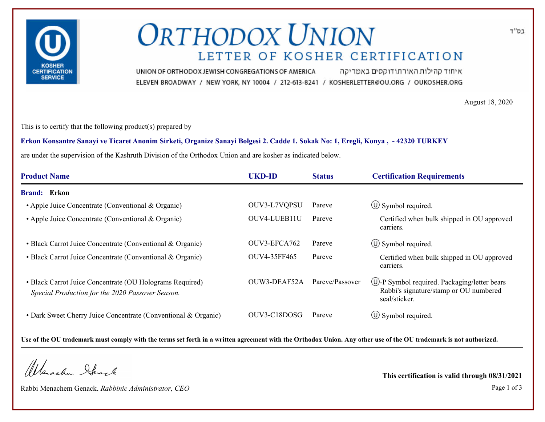

# **ORTHODOX UNION** LETTER OF KOSHER CERTIFICATION

איחוד קהילות האורתודוקסים באמריקה UNION OF ORTHODOX JEWISH CONGREGATIONS OF AMERICA ELEVEN BROADWAY / NEW YORK, NY 10004 / 212-613-8241 / KOSHERLETTER@OU.ORG / OUKOSHER.ORG

August 18, 2020

This is to certify that the following product(s) prepared by

**Erkon Konsantre Sanayi ve Ticaret Anonim Sirketi, Organize Sanayi Bolgesi 2. Cadde 1. Sokak No: 1, Eregli, Konya , - 42320 TURKEY**

are under the supervision of the Kashruth Division of the Orthodox Union and are kosher as indicated below.

| <b>Product Name</b>                                                                                          | <b>UKD-ID</b> | <b>Status</b>   | <b>Certification Requirements</b>                                                                                   |
|--------------------------------------------------------------------------------------------------------------|---------------|-----------------|---------------------------------------------------------------------------------------------------------------------|
| <b>Brand:</b> Erkon                                                                                          |               |                 |                                                                                                                     |
| • Apple Juice Concentrate (Conventional & Organic)                                                           | OUV3-L7VQPSU  | Pareve          | $\circ$ Symbol required.                                                                                            |
| • Apple Juice Concentrate (Conventional & Organic)                                                           | OUV4-LUEB11U  | Pareve          | Certified when bulk shipped in OU approved<br>carriers.                                                             |
| • Black Carrot Juice Concentrate (Conventional & Organic)                                                    | OUV3-EFCA762  | Pareve          | $\circ$ Symbol required.                                                                                            |
| • Black Carrot Juice Concentrate (Conventional & Organic)                                                    | OUV4-35FF465  | Pareve          | Certified when bulk shipped in OU approved<br>carriers.                                                             |
| • Black Carrot Juice Concentrate (OU Holograms Required)<br>Special Production for the 2020 Passover Season. | OUW3-DEAF52A  | Pareve/Passover | $\circled{1}$ -P Symbol required. Packaging/letter bears<br>Rabbi's signature/stamp or OU numbered<br>seal/sticker. |
| • Dark Sweet Cherry Juice Concentrate (Conventional & Organic)                                               | OUV3-C18DOSG  | Pareve          | $\circ$ Symbol required.                                                                                            |

**Use of the OU trademark must comply with the terms set forth in a written agreement with the Orthodox Union. Any other use of the OU trademark is not authorized.**

Werschn Heart

Rabbi Menachem Genack, *Rabbinic Administrator, CEO* Page 1 of 3

**This certification is valid through 08/31/2021**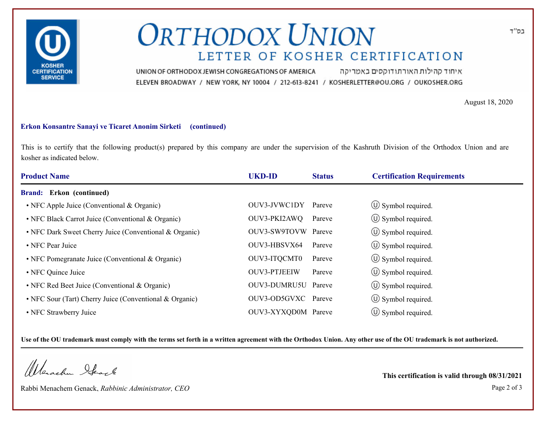

# **ORTHODOX UNION** LETTER OF KOSHER CERTIFICATION

איחוד קהילות האורתודוקסים באמריקה UNION OF ORTHODOX JEWISH CONGREGATIONS OF AMERICA ELEVEN BROADWAY / NEW YORK, NY 10004 / 212-613-8241 / KOSHERLETTER@OU.ORG / OUKOSHER.ORG

August 18, 2020

#### **Erkon Konsantre Sanayi ve Ticaret Anonim Sirketi (continued)**

This is to certify that the following product(s) prepared by this company are under the supervision of the Kashruth Division of the Orthodox Union and are kosher as indicated below.

| <b>Product Name</b>                                     | <b>UKD-ID</b>       | <b>Status</b> | <b>Certification Requirements</b> |
|---------------------------------------------------------|---------------------|---------------|-----------------------------------|
| <b>Brand:</b> Erkon (continued)                         |                     |               |                                   |
| • NFC Apple Juice (Conventional & Organic)              | OUV3-JVWC1DY        | Pareve        | $\circ$ Symbol required.          |
| • NFC Black Carrot Juice (Conventional & Organic)       | OUV3-PKI2AWQ        | Pareve        | $\circ$ Symbol required.          |
| • NFC Dark Sweet Cherry Juice (Conventional & Organic)  | OUV3-SW9TOVW Pareve |               | $\circ$ Symbol required.          |
| • NFC Pear Juice                                        | OUV3-HBSVX64        | Pareve        | $\circ$ Symbol required.          |
| • NFC Pomegranate Juice (Conventional & Organic)        | OUV3-ITQCMT0        | Pareve        | $\circ$ Symbol required.          |
| • NFC Quince Juice                                      | <b>OUV3-PTJEEIW</b> | Pareve        | $\circled{1}$ Symbol required.    |
| • NFC Red Beet Juice (Conventional & Organic)           | OUV3-DUMRU5U Pareve |               | $\circ$ Symbol required.          |
| • NFC Sour (Tart) Cherry Juice (Conventional & Organic) | OUV3-OD5GVXC Pareve |               | $\circ$ Symbol required.          |
| • NFC Strawberry Juice                                  | OUV3-XYXQD0M Pareve |               | $\left(\bigcup$ Symbol required.  |

**Use of the OU trademark must comply with the terms set forth in a written agreement with the Orthodox Union. Any other use of the OU trademark is not authorized.**

Werachen Stack

Rabbi Menachem Genack, *Rabbinic Administrator, CEO* Page 2 of 3

**This certification is valid through 08/31/2021**

בס"ד